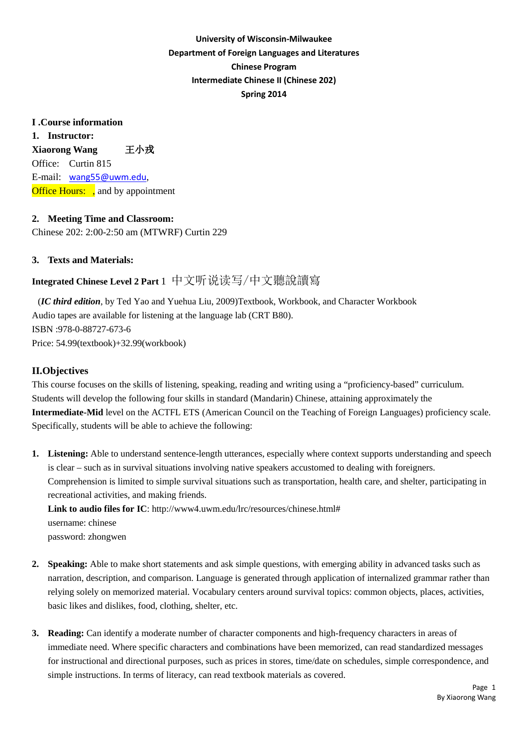# **University of Wisconsin-Milwaukee Department of Foreign Languages and Literatures Chinese Program Intermediate Chinese II (Chinese 202) Spring 2014**

#### **I .Course information**

**1. Instructor: Xiaorong Wang** 王小戎 Office: Curtin 815 E-mail: [wang55@uwm.edu](mailto:wang55@uwm.edu), **Office Hours:** , and by appointment

# **2. Meeting Time and Classroom:**

Chinese 202: 2:00-2:50 am (MTWRF) Curtin 229

# **3. Texts and Materials:**

# **Integrated Chinese Level 2 Part** 1 中文听说读写/中文聽說讀寫

(*IC third edition*, by Ted Yao and Yuehua Liu, 2009)Textbook, Workbook, and Character Workbook Audio tapes are available for listening at the language lab (CRT B80). ISBN :978-0-88727-673-6 Price: 54.99(textbook)+32.99(workbook)

#### **II.Objectives**

This course focuses on the skills of listening, speaking, reading and writing using a "proficiency-based" curriculum. Students will develop the following four skills in standard (Mandarin) Chinese, attaining approximately the **Intermediate-Mid** level on the ACTFL ETS (American Council on the Teaching of Foreign Languages) proficiency scale. Specifically, students will be able to achieve the following:

**1. Listening:** Able to understand sentence-length utterances, especially where context supports understanding and speech is clear – such as in survival situations involving native speakers accustomed to dealing with foreigners. Comprehension is limited to simple survival situations such as transportation, health care, and shelter, participating in recreational activities, and making friends.

**Link to audio files for IC**: http://www4.uwm.edu/lrc/resources/chinese.html# username: chinese password: zhongwen

- **2. Speaking:** Able to make short statements and ask simple questions, with emerging ability in advanced tasks such as narration, description, and comparison. Language is generated through application of internalized grammar rather than relying solely on memorized material. Vocabulary centers around survival topics: common objects, places, activities, basic likes and dislikes, food, clothing, shelter, etc.
- **3. Reading:** Can identify a moderate number of character components and high-frequency characters in areas of immediate need. Where specific characters and combinations have been memorized, can read standardized messages for instructional and directional purposes, such as prices in stores, time/date on schedules, simple correspondence, and simple instructions. In terms of literacy, can read textbook materials as covered.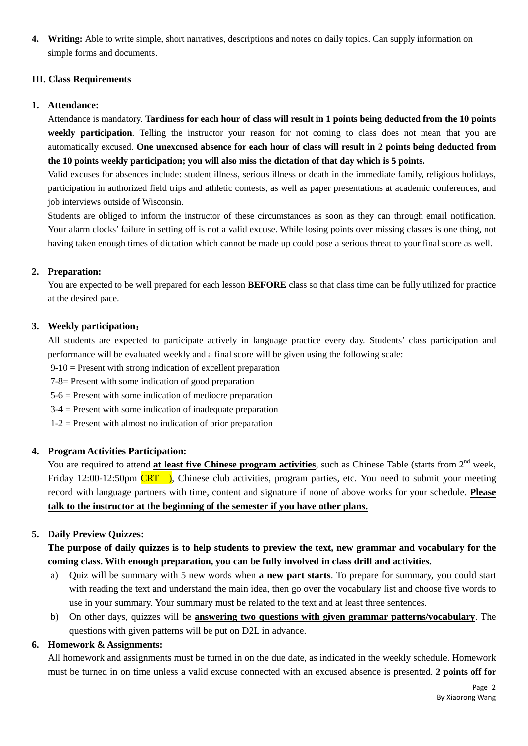**4. Writing:** Able to write simple, short narratives, descriptions and notes on daily topics. Can supply information on simple forms and documents.

# **III. Class Requirements**

# **1. Attendance:**

Attendance is mandatory. **Tardiness for each hour of class will result in 1 points being deducted from the 10 points weekly participation**. Telling the instructor your reason for not coming to class does not mean that you are automatically excused. **One unexcused absence for each hour of class will result in 2 points being deducted from the 10 points weekly participation; you will also miss the dictation of that day which is 5 points.**

Valid excuses for absences include: student illness, serious illness or death in the immediate family, religious holidays, participation in authorized field trips and athletic contests, as well as paper presentations at academic conferences, and job interviews outside of Wisconsin.

Students are obliged to inform the instructor of these circumstances as soon as they can through email notification. Your alarm clocks' failure in setting off is not a valid excuse. While losing points over missing classes is one thing, not having taken enough times of dictation which cannot be made up could pose a serious threat to your final score as well.

# **2. Preparation:**

You are expected to be well prepared for each lesson **BEFORE** class so that class time can be fully utilized for practice at the desired pace.

#### **3. Weekly participation**:

All students are expected to participate actively in language practice every day. Students' class participation and performance will be evaluated weekly and a final score will be given using the following scale:

 $9-10$  = Present with strong indication of excellent preparation

7-8= Present with some indication of good preparation

5-6 = Present with some indication of mediocre preparation

- 3-4 = Present with some indication of inadequate preparation
- 1-2 = Present with almost no indication of prior preparation

# **4. Program Activities Participation:**

You are required to attend **at least five Chinese program activities**, such as Chinese Table (starts from 2<sup>nd</sup> week, Friday 12:00-12:50pm CRT ), Chinese club activities, program parties, etc. You need to submit your meeting record with language partners with time, content and signature if none of above works for your schedule. **Please talk to the instructor at the beginning of the semester if you have other plans.**

# **5. Daily Preview Quizzes:**

**The purpose of daily quizzes is to help students to preview the text, new grammar and vocabulary for the coming class. With enough preparation, you can be fully involved in class drill and activities.**

- a) Quiz will be summary with 5 new words when **a new part starts**. To prepare for summary, you could start with reading the text and understand the main idea, then go over the vocabulary list and choose five words to use in your summary. Your summary must be related to the text and at least three sentences.
- b) On other days, quizzes will be **answering two questions with given grammar patterns/vocabulary**. The questions with given patterns will be put on D2L in advance.

# **6. Homework & Assignments:**

All homework and assignments must be turned in on the due date, as indicated in the weekly schedule. Homework must be turned in on time unless a valid excuse connected with an excused absence is presented. **2 points off for**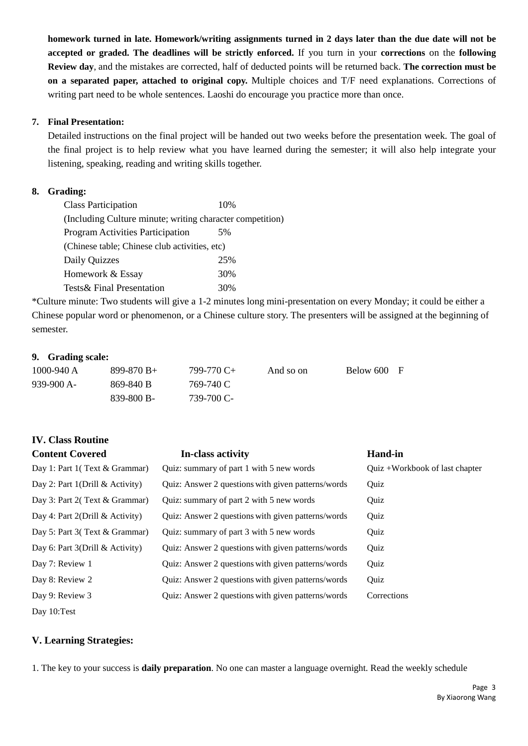**homework turned in late. Homework/writing assignments turned in 2 days later than the due date will not be accepted or graded. The deadlines will be strictly enforced.** If you turn in your **corrections** on the **following Review day**, and the mistakes are corrected, half of deducted points will be returned back. **The correction must be on a separated paper, attached to original copy.** Multiple choices and T/F need explanations. Corrections of writing part need to be whole sentences. Laoshi do encourage you practice more than once.

#### **7. Final Presentation:**

Detailed instructions on the final project will be handed out two weeks before the presentation week. The goal of the final project is to help review what you have learned during the semester; it will also help integrate your listening, speaking, reading and writing skills together.

#### **8. Grading:**

| <b>Class Participation</b>                                | 10% |  |  |  |
|-----------------------------------------------------------|-----|--|--|--|
| (Including Culture minute; writing character competition) |     |  |  |  |
| <b>Program Activities Participation</b>                   | 5%  |  |  |  |
| (Chinese table; Chinese club activities, etc)             |     |  |  |  |
| Daily Quizzes                                             | 25% |  |  |  |
| Homework & Essay                                          | 30% |  |  |  |
| Tests& Final Presentation                                 | 30% |  |  |  |

\*Culture minute: Two students will give a 1-2 minutes long mini-presentation on every Monday; it could be either a Chinese popular word or phenomenon, or a Chinese culture story. The presenters will be assigned at the beginning of semester.

#### **9. Grading scale:**

| 1000-940 A  | $899 - 870 B +$ | 799-770 C+ | And so on | Below 600 | $\mathbf{F}$ |
|-------------|-----------------|------------|-----------|-----------|--------------|
| $939-900 A$ | 869-840 B       | 769-740 C  |           |           |              |
|             | 839-800 B-      | 739-700 C- |           |           |              |

| <b>IV. Class Routine</b>           |                                                    |                                   |
|------------------------------------|----------------------------------------------------|-----------------------------------|
| <b>Content Covered</b>             | In-class activity                                  | <b>Hand-in</b>                    |
| Day 1: Part 1(Text & Grammar)      | Quiz: summary of part 1 with 5 new words           | $Ouiz + Workbook$ of last chapter |
| Day 2: Part $1(Drill & Activity)$  | Quiz: Answer 2 questions with given patterns/words | Quiz                              |
| Day 3: Part 2(Text & Grammar)      | Quiz: summary of part 2 with 5 new words           | Quiz                              |
| Day 4: Part $2(Drill \&$ Activity) | Quiz: Answer 2 questions with given patterns/words | Quiz                              |
| Day 5: Part 3(Text & Grammar)      | Quiz: summary of part 3 with 5 new words           | Quiz                              |
| Day 6: Part 3(Drill & Activity)    | Quiz: Answer 2 questions with given patterns/words | Quiz                              |
| Day 7: Review 1                    | Quiz: Answer 2 questions with given patterns/words | Quiz                              |
| Day 8: Review 2                    | Quiz: Answer 2 questions with given patterns/words | Quiz                              |
| Day 9: Review 3                    | Quiz: Answer 2 questions with given patterns/words | Corrections                       |
| Day 10:Test                        |                                                    |                                   |

# **V. Learning Strategies:**

1. The key to your success is **daily preparation**. No one can master a language overnight. Read the weekly schedule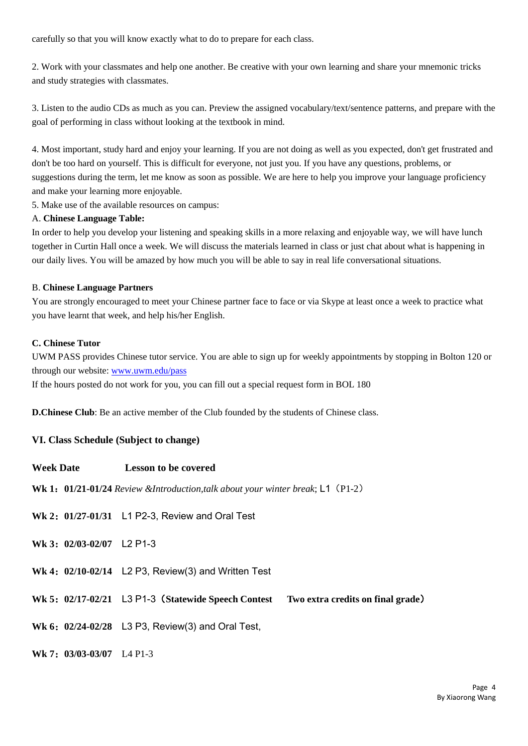carefully so that you will know exactly what to do to prepare for each class.

2. Work with your classmates and help one another. Be creative with your own learning and share your mnemonic tricks and study strategies with classmates.

3. Listen to the audio CDs as much as you can. Preview the assigned vocabulary/text/sentence patterns, and prepare with the goal of performing in class without looking at the textbook in mind.

4. Most important, study hard and enjoy your learning. If you are not doing as well as you expected, don't get frustrated and don't be too hard on yourself. This is difficult for everyone, not just you. If you have any questions, problems, or suggestions during the term, let me know as soon as possible. We are here to help you improve your language proficiency and make your learning more enjoyable.

5. Make use of the available resources on campus:

#### A. **Chinese Language Table:**

In order to help you develop your listening and speaking skills in a more relaxing and enjoyable way, we will have lunch together in Curtin Hall once a week. We will discuss the materials learned in class or just chat about what is happening in our daily lives. You will be amazed by how much you will be able to say in real life conversational situations.

#### B. **Chinese Language Partners**

You are strongly encouraged to meet your Chinese partner face to face or via Skype at least once a week to practice what you have learnt that week, and help his/her English.

#### **C. Chinese Tutor**

UWM PASS provides Chinese tutor service. You are able to sign up for weekly appointments by stopping in Bolton 120 or through our website: [www.uwm.edu/pass](http://www.uwm.edu/pass)

If the hours posted do not work for you, you can fill out a special request form in BOL 180

**D.Chinese Club**: Be an active member of the Club founded by the students of Chinese class.

#### **VI. Class Schedule (Subject to change)**

|                                                                                           | Week Date <b>Lesson</b> to be covered                                                 |  |  |  |
|-------------------------------------------------------------------------------------------|---------------------------------------------------------------------------------------|--|--|--|
| <b>Wk 1:</b> $01/21-01/24$ Review & Introduction, talk about your winter break; L1 (P1-2) |                                                                                       |  |  |  |
|                                                                                           | Wk 2: 01/27-01/31 L1 P2-3, Review and Oral Test                                       |  |  |  |
| Wk 3: 02/03-02/07 L2 P1-3                                                                 |                                                                                       |  |  |  |
|                                                                                           | Wk 4: 02/10-02/14 L2 P3, Review(3) and Written Test                                   |  |  |  |
|                                                                                           | Wk 5: 02/17-02/21 L3 P1-3 (Statewide Speech Contest Two extra credits on final grade) |  |  |  |
|                                                                                           | Wk 6: 02/24-02/28 L3 P3, Review(3) and Oral Test,                                     |  |  |  |
| Wk 7: 03/03-03/07 L4 P1-3                                                                 |                                                                                       |  |  |  |